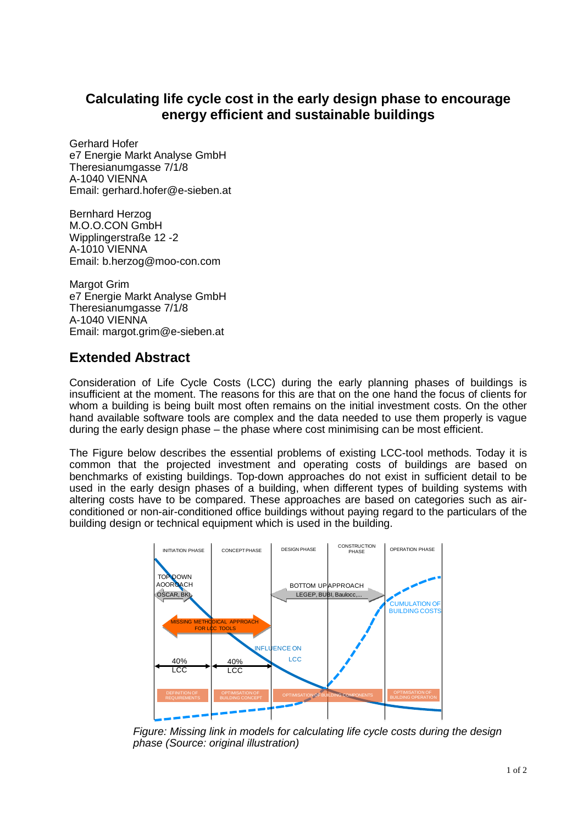## **Calculating life cycle cost in the early design phase to encourage energy efficient and sustainable buildings**

Gerhard Hofer e7 Energie Markt Analyse GmbH Theresianumgasse 7/1/8 A-1040 VIENNA Email: gerhard.hofer@e-sieben.at

Bernhard Herzog M.O.O.CON GmbH Wipplingerstraße 12 -2 A-1010 VIENNA Email: b.herzog@moo-con.com

Margot Grim e7 Energie Markt Analyse GmbH Theresianumgasse 7/1/8 A-1040 VIENNA Email: margot.grim@e-sieben.at

## **Extended Abstract**

Consideration of Life Cycle Costs (LCC) during the early planning phases of buildings is insufficient at the moment. The reasons for this are that on the one hand the focus of clients for whom a building is being built most often remains on the initial investment costs. On the other hand available software tools are complex and the data needed to use them properly is vague during the early design phase – the phase where cost minimising can be most efficient.

The Figure below describes the essential problems of existing LCC-tool methods. Today it is common that the projected investment and operating costs of buildings are based on benchmarks of existing buildings. Top-down approaches do not exist in sufficient detail to be used in the early design phases of a building, when different types of building systems with altering costs have to be compared. These approaches are based on categories such as airconditioned or non-air-conditioned office buildings without paying regard to the particulars of the building design or technical equipment which is used in the building.



*Figure: Missing link in models for calculating life cycle costs during the design phase (Source: original illustration)*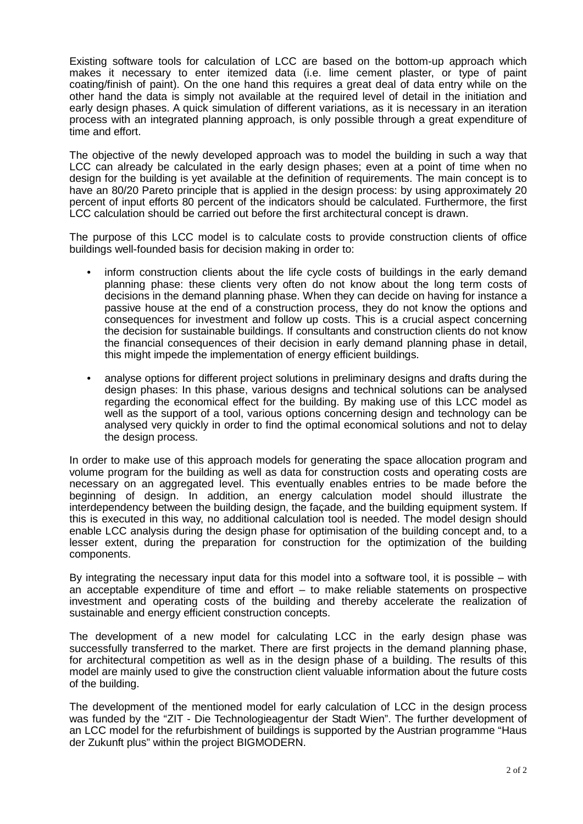Existing software tools for calculation of LCC are based on the bottom-up approach which makes it necessary to enter itemized data (i.e. lime cement plaster, or type of paint coating/finish of paint). On the one hand this requires a great deal of data entry while on the other hand the data is simply not available at the required level of detail in the initiation and early design phases. A quick simulation of different variations, as it is necessary in an iteration process with an integrated planning approach, is only possible through a great expenditure of time and effort.

The objective of the newly developed approach was to model the building in such a way that LCC can already be calculated in the early design phases; even at a point of time when no design for the building is yet available at the definition of requirements. The main concept is to have an 80/20 Pareto principle that is applied in the design process: by using approximately 20 percent of input efforts 80 percent of the indicators should be calculated. Furthermore, the first LCC calculation should be carried out before the first architectural concept is drawn.

The purpose of this LCC model is to calculate costs to provide construction clients of office buildings well-founded basis for decision making in order to:

- inform construction clients about the life cycle costs of buildings in the early demand planning phase: these clients very often do not know about the long term costs of decisions in the demand planning phase. When they can decide on having for instance a passive house at the end of a construction process, they do not know the options and consequences for investment and follow up costs. This is a crucial aspect concerning the decision for sustainable buildings. If consultants and construction clients do not know the financial consequences of their decision in early demand planning phase in detail, this might impede the implementation of energy efficient buildings.
- analyse options for different project solutions in preliminary designs and drafts during the design phases: In this phase, various designs and technical solutions can be analysed regarding the economical effect for the building. By making use of this LCC model as well as the support of a tool, various options concerning design and technology can be analysed very quickly in order to find the optimal economical solutions and not to delay the design process.

In order to make use of this approach models for generating the space allocation program and volume program for the building as well as data for construction costs and operating costs are necessary on an aggregated level. This eventually enables entries to be made before the beginning of design. In addition, an energy calculation model should illustrate the interdependency between the building design, the façade, and the building equipment system. If this is executed in this way, no additional calculation tool is needed. The model design should enable LCC analysis during the design phase for optimisation of the building concept and, to a lesser extent, during the preparation for construction for the optimization of the building components.

By integrating the necessary input data for this model into a software tool, it is possible – with an acceptable expenditure of time and effort – to make reliable statements on prospective investment and operating costs of the building and thereby accelerate the realization of sustainable and energy efficient construction concepts.

The development of a new model for calculating LCC in the early design phase was successfully transferred to the market. There are first projects in the demand planning phase, for architectural competition as well as in the design phase of a building. The results of this model are mainly used to give the construction client valuable information about the future costs of the building.

The development of the mentioned model for early calculation of LCC in the design process was funded by the "ZIT - Die Technologieagentur der Stadt Wien". The further development of an LCC model for the refurbishment of buildings is supported by the Austrian programme "Haus der Zukunft plus" within the project BIGMODERN.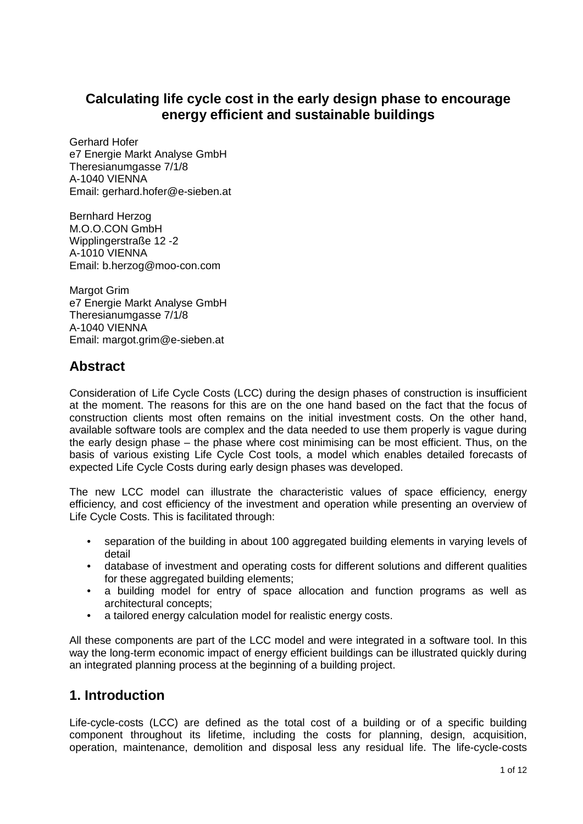## **Calculating life cycle cost in the early design phase to encourage energy efficient and sustainable buildings**

Gerhard Hofer e7 Energie Markt Analyse GmbH Theresianumgasse 7/1/8 A-1040 VIENNA Email: gerhard.hofer@e-sieben.at

Bernhard Herzog M.O.O.CON GmbH Wipplingerstraße 12 -2 A-1010 VIENNA Email: b.herzog@moo-con.com

Margot Grim e7 Energie Markt Analyse GmbH Theresianumgasse 7/1/8 A-1040 VIENNA Email: margot.grim@e-sieben.at

# **Abstract**

Consideration of Life Cycle Costs (LCC) during the design phases of construction is insufficient at the moment. The reasons for this are on the one hand based on the fact that the focus of construction clients most often remains on the initial investment costs. On the other hand, available software tools are complex and the data needed to use them properly is vague during the early design phase – the phase where cost minimising can be most efficient. Thus, on the basis of various existing Life Cycle Cost tools, a model which enables detailed forecasts of expected Life Cycle Costs during early design phases was developed.

The new LCC model can illustrate the characteristic values of space efficiency, energy efficiency, and cost efficiency of the investment and operation while presenting an overview of Life Cycle Costs. This is facilitated through:

- separation of the building in about 100 aggregated building elements in varying levels of detail
- database of investment and operating costs for different solutions and different qualities for these aggregated building elements;
- a building model for entry of space allocation and function programs as well as architectural concepts;
- a tailored energy calculation model for realistic energy costs.

All these components are part of the LCC model and were integrated in a software tool. In this way the long-term economic impact of energy efficient buildings can be illustrated quickly during an integrated planning process at the beginning of a building project.

## **1. Introduction**

Life-cycle-costs (LCC) are defined as the total cost of a building or of a specific building component throughout its lifetime, including the costs for planning, design, acquisition, operation, maintenance, demolition and disposal less any residual life. The life-cycle-costs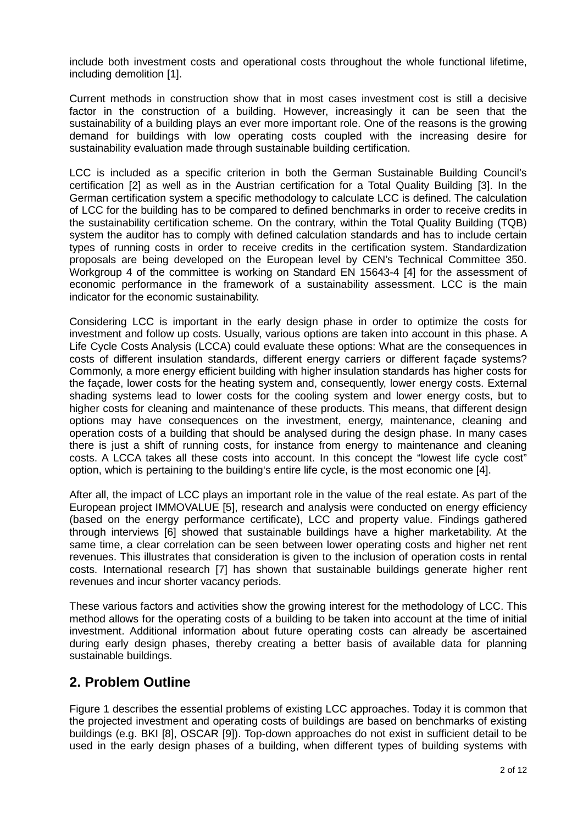include both investment costs and operational costs throughout the whole functional lifetime, including demolition [1].

Current methods in construction show that in most cases investment cost is still a decisive factor in the construction of a building. However, increasingly it can be seen that the sustainability of a building plays an ever more important role. One of the reasons is the growing demand for buildings with low operating costs coupled with the increasing desire for sustainability evaluation made through sustainable building certification.

LCC is included as a specific criterion in both the German Sustainable Building Council's certification [2] as well as in the Austrian certification for a Total Quality Building [3]. In the German certification system a specific methodology to calculate LCC is defined. The calculation of LCC for the building has to be compared to defined benchmarks in order to receive credits in the sustainability certification scheme. On the contrary, within the Total Quality Building (TQB) system the auditor has to comply with defined calculation standards and has to include certain types of running costs in order to receive credits in the certification system. Standardization proposals are being developed on the European level by CEN's Technical Committee 350. Workgroup 4 of the committee is working on Standard EN 15643-4 [4] for the assessment of economic performance in the framework of a sustainability assessment. LCC is the main indicator for the economic sustainability.

Considering LCC is important in the early design phase in order to optimize the costs for investment and follow up costs. Usually, various options are taken into account in this phase. A Life Cycle Costs Analysis (LCCA) could evaluate these options: What are the consequences in costs of different insulation standards, different energy carriers or different façade systems? Commonly, a more energy efficient building with higher insulation standards has higher costs for the façade, lower costs for the heating system and, consequently, lower energy costs. External shading systems lead to lower costs for the cooling system and lower energy costs, but to higher costs for cleaning and maintenance of these products. This means, that different design options may have consequences on the investment, energy, maintenance, cleaning and operation costs of a building that should be analysed during the design phase. In many cases there is just a shift of running costs, for instance from energy to maintenance and cleaning costs. A LCCA takes all these costs into account. In this concept the "lowest life cycle cost" option, which is pertaining to the building's entire life cycle, is the most economic one [4].

After all, the impact of LCC plays an important role in the value of the real estate. As part of the European project IMMOVALUE [5], research and analysis were conducted on energy efficiency (based on the energy performance certificate), LCC and property value. Findings gathered through interviews [6] showed that sustainable buildings have a higher marketability. At the same time, a clear correlation can be seen between lower operating costs and higher net rent revenues. This illustrates that consideration is given to the inclusion of operation costs in rental costs. International research [7] has shown that sustainable buildings generate higher rent revenues and incur shorter vacancy periods.

These various factors and activities show the growing interest for the methodology of LCC. This method allows for the operating costs of a building to be taken into account at the time of initial investment. Additional information about future operating costs can already be ascertained during early design phases, thereby creating a better basis of available data for planning sustainable buildings.

### **2. Problem Outline**

Figure 1 describes the essential problems of existing LCC approaches. Today it is common that the projected investment and operating costs of buildings are based on benchmarks of existing buildings (e.g. BKI [8], OSCAR [9]). Top-down approaches do not exist in sufficient detail to be used in the early design phases of a building, when different types of building systems with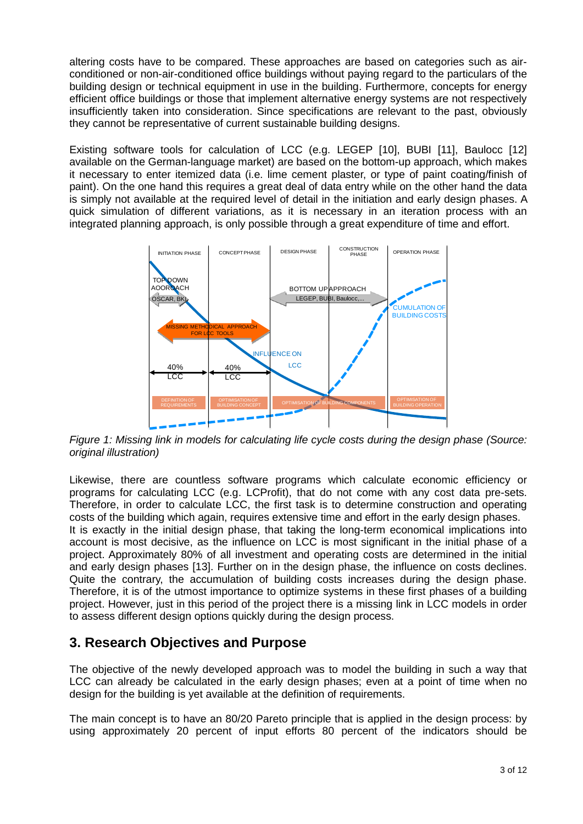altering costs have to be compared. These approaches are based on categories such as airconditioned or non-air-conditioned office buildings without paying regard to the particulars of the building design or technical equipment in use in the building. Furthermore, concepts for energy efficient office buildings or those that implement alternative energy systems are not respectively insufficiently taken into consideration. Since specifications are relevant to the past, obviously they cannot be representative of current sustainable building designs.

Existing software tools for calculation of LCC (e.g. LEGEP [10], BUBI [11], Baulocc [12] available on the German-language market) are based on the bottom-up approach, which makes it necessary to enter itemized data (i.e. lime cement plaster, or type of paint coating/finish of paint). On the one hand this requires a great deal of data entry while on the other hand the data is simply not available at the required level of detail in the initiation and early design phases. A quick simulation of different variations, as it is necessary in an iteration process with an integrated planning approach, is only possible through a great expenditure of time and effort.



*Figure 1: Missing link in models for calculating life cycle costs during the design phase (Source: original illustration)*

Likewise, there are countless software programs which calculate economic efficiency or programs for calculating LCC (e.g. LCProfit), that do not come with any cost data pre-sets. Therefore, in order to calculate LCC, the first task is to determine construction and operating costs of the building which again, requires extensive time and effort in the early design phases. It is exactly in the initial design phase, that taking the long-term economical implications into account is most decisive, as the influence on LCC is most significant in the initial phase of a project. Approximately 80% of all investment and operating costs are determined in the initial and early design phases [13]. Further on in the design phase, the influence on costs declines. Quite the contrary, the accumulation of building costs increases during the design phase. Therefore, it is of the utmost importance to optimize systems in these first phases of a building project. However, just in this period of the project there is a missing link in LCC models in order to assess different design options quickly during the design process.

### **3. Research Objectives and Purpose**

The objective of the newly developed approach was to model the building in such a way that LCC can already be calculated in the early design phases; even at a point of time when no design for the building is yet available at the definition of requirements.

The main concept is to have an 80/20 Pareto principle that is applied in the design process: by using approximately 20 percent of input efforts 80 percent of the indicators should be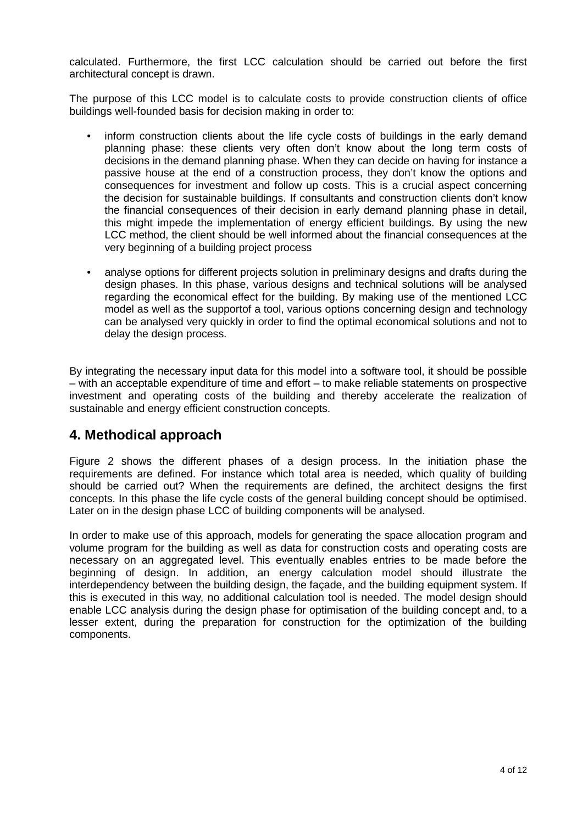calculated. Furthermore, the first LCC calculation should be carried out before the first architectural concept is drawn.

The purpose of this LCC model is to calculate costs to provide construction clients of office buildings well-founded basis for decision making in order to:

- inform construction clients about the life cycle costs of buildings in the early demand planning phase: these clients very often don't know about the long term costs of decisions in the demand planning phase. When they can decide on having for instance a passive house at the end of a construction process, they don't know the options and consequences for investment and follow up costs. This is a crucial aspect concerning the decision for sustainable buildings. If consultants and construction clients don't know the financial consequences of their decision in early demand planning phase in detail, this might impede the implementation of energy efficient buildings. By using the new LCC method, the client should be well informed about the financial consequences at the very beginning of a building project process
- analyse options for different projects solution in preliminary designs and drafts during the design phases. In this phase, various designs and technical solutions will be analysed regarding the economical effect for the building. By making use of the mentioned LCC model as well as the supportof a tool, various options concerning design and technology can be analysed very quickly in order to find the optimal economical solutions and not to delay the design process.

By integrating the necessary input data for this model into a software tool, it should be possible – with an acceptable expenditure of time and effort – to make reliable statements on prospective investment and operating costs of the building and thereby accelerate the realization of sustainable and energy efficient construction concepts.

### **4. Methodical approach**

Figure 2 shows the different phases of a design process. In the initiation phase the requirements are defined. For instance which total area is needed, which quality of building should be carried out? When the requirements are defined, the architect designs the first concepts. In this phase the life cycle costs of the general building concept should be optimised. Later on in the design phase LCC of building components will be analysed.

In order to make use of this approach, models for generating the space allocation program and volume program for the building as well as data for construction costs and operating costs are necessary on an aggregated level. This eventually enables entries to be made before the beginning of design. In addition, an energy calculation model should illustrate the interdependency between the building design, the façade, and the building equipment system. If this is executed in this way, no additional calculation tool is needed. The model design should enable LCC analysis during the design phase for optimisation of the building concept and, to a lesser extent, during the preparation for construction for the optimization of the building components.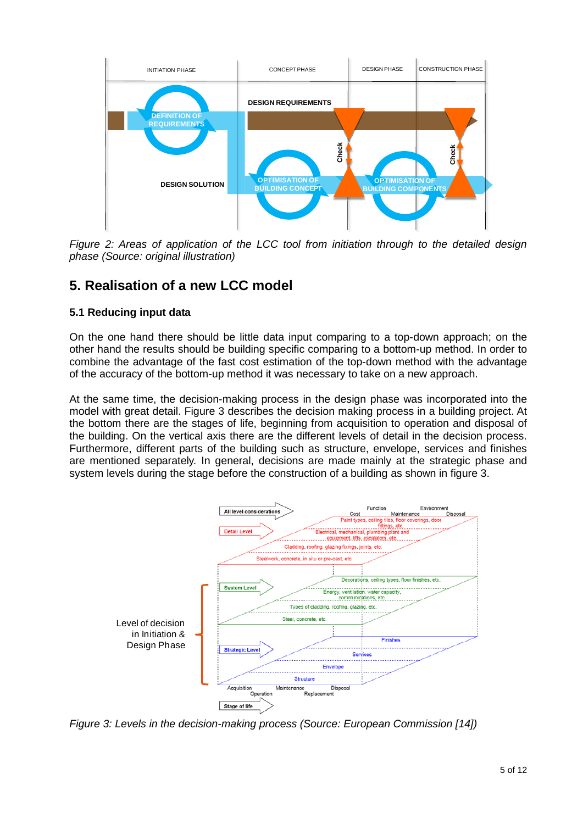

*Figure 2: Areas of application of the LCC tool from initiation through to the detailed design phase (Source: original illustration)*

# **5. Realisation of a new LCC model**

### **5.1 Reducing input data**

On the one hand there should be little data input comparing to a top-down approach; on the other hand the results should be building specific comparing to a bottom-up method. In order to combine the advantage of the fast cost estimation of the top-down method with the advantage of the accuracy of the bottom-up method it was necessary to take on a new approach.

At the same time, the decision-making process in the design phase was incorporated into the model with great detail. Figure 3 describes the decision making process in a building project. At the bottom there are the stages of life, beginning from acquisition to operation and disposal of the building. On the vertical axis there are the different levels of detail in the decision process. Furthermore, different parts of the building such as structure, envelope, services and finishes are mentioned separately. In general, decisions are made mainly at the strategic phase and system levels during the stage before the construction of a building as shown in figure 3.



*Figure 3: Levels in the decision-making process (Source: European Commission [14])*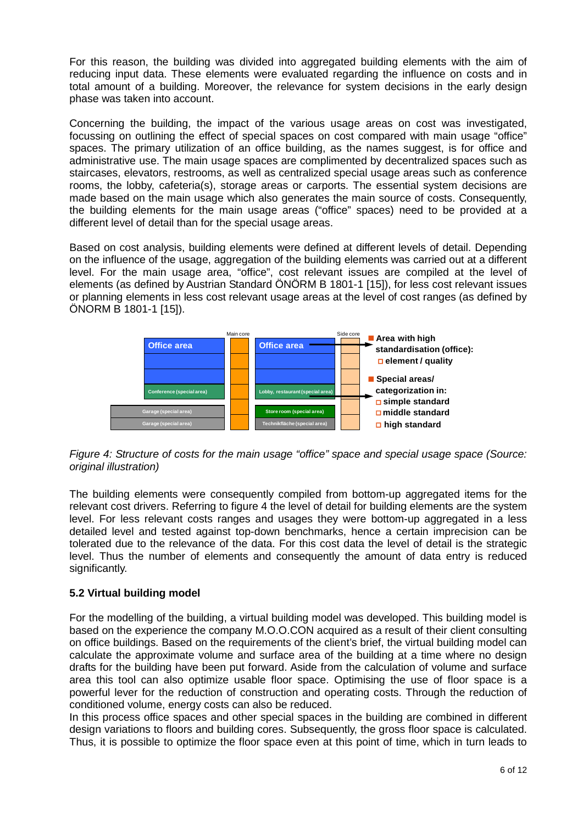For this reason, the building was divided into aggregated building elements with the aim of reducing input data. These elements were evaluated regarding the influence on costs and in total amount of a building. Moreover, the relevance for system decisions in the early design phase was taken into account.

Concerning the building, the impact of the various usage areas on cost was investigated, focussing on outlining the effect of special spaces on cost compared with main usage "office" spaces. The primary utilization of an office building, as the names suggest, is for office and administrative use. The main usage spaces are complimented by decentralized spaces such as staircases, elevators, restrooms, as well as centralized special usage areas such as conference rooms, the lobby, cafeteria(s), storage areas or carports. The essential system decisions are made based on the main usage which also generates the main source of costs. Consequently, the building elements for the main usage areas ("office" spaces) need to be provided at a different level of detail than for the special usage areas.

Based on cost analysis, building elements were defined at different levels of detail. Depending on the influence of the usage, aggregation of the building elements was carried out at a different level. For the main usage area, "office", cost relevant issues are compiled at the level of elements (as defined by Austrian Standard ÖNÖRM B 1801-1 [15]), for less cost relevant issues or planning elements in less cost relevant usage areas at the level of cost ranges (as defined by ÖNORM B 1801-1 [15]).



#### *Figure 4: Structure of costs for the main usage "office" space and special usage space (Source: original illustration)*

The building elements were consequently compiled from bottom-up aggregated items for the relevant cost drivers. Referring to figure 4 the level of detail for building elements are the system level. For less relevant costs ranges and usages they were bottom-up aggregated in a less detailed level and tested against top-down benchmarks, hence a certain imprecision can be tolerated due to the relevance of the data. For this cost data the level of detail is the strategic level. Thus the number of elements and consequently the amount of data entry is reduced significantly.

#### **5.2 Virtual building model**

For the modelling of the building, a virtual building model was developed. This building model is based on the experience the company M.O.O.CON acquired as a result of their client consulting on office buildings. Based on the requirements of the client's brief, the virtual building model can calculate the approximate volume and surface area of the building at a time where no design drafts for the building have been put forward. Aside from the calculation of volume and surface area this tool can also optimize usable floor space. Optimising the use of floor space is a powerful lever for the reduction of construction and operating costs. Through the reduction of conditioned volume, energy costs can also be reduced.

In this process office spaces and other special spaces in the building are combined in different design variations to floors and building cores. Subsequently, the gross floor space is calculated. Thus, it is possible to optimize the floor space even at this point of time, which in turn leads to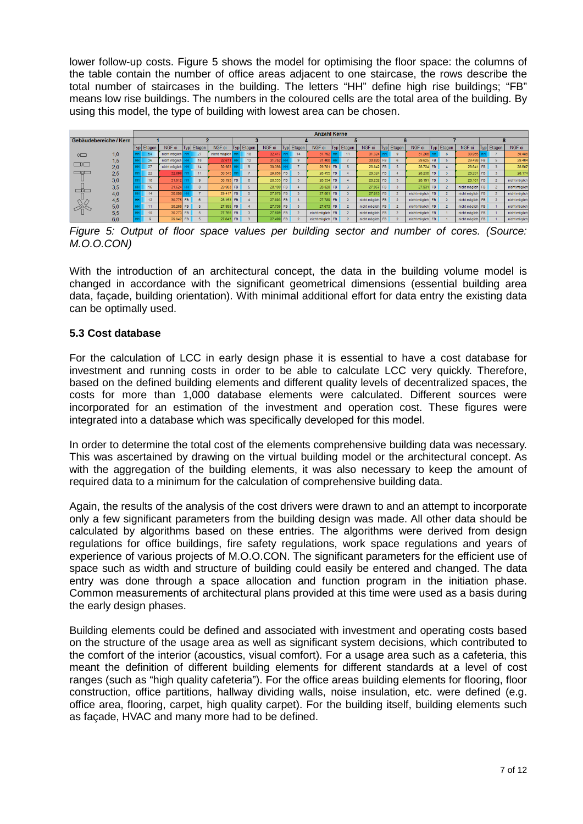lower follow-up costs. Figure 5 shows the model for optimising the floor space: the columns of the table contain the number of office areas adjacent to one staircase, the rows describe the total number of staircases in the building. The letters "HH" define high rise buildings; "FB" means low rise buildings. The numbers in the coloured cells are the total area of the building. By using this model, the type of building with lowest area can be chosen.

|                        |     |  |            |               |           |              |               |           |                   |        |           |                | <b>Anzahl Kerne</b> |           |                |                  |           |                |                  |           |                |                  |           |                |               |
|------------------------|-----|--|------------|---------------|-----------|--------------|---------------|-----------|-------------------|--------|-----------|----------------|---------------------|-----------|----------------|------------------|-----------|----------------|------------------|-----------|----------------|------------------|-----------|----------------|---------------|
| Gebäudebereiche / Kern |     |  |            |               |           |              |               |           |                   |        |           |                |                     |           |                |                  |           |                |                  |           |                |                  |           |                |               |
|                        |     |  | Typ Etagen | NGF oi        |           | Typ Etagen   | NGF oi        |           | <b>Typ</b> Etagen | NGF oi |           | Typ Etagen     | NGF oi              |           | Typ Etagen     | NGF oi           | Typl      | Etagen         | NGF oi           |           | Typ Etagen     | NGF oi           |           | Typ Etagen     | NGF oi        |
| $\circ$                | 1,0 |  |            | nicht möglich |           | 27           | nicht möglich |           | 18                | 32.41  |           | 14             | 31.792              |           | 11             | 31.324           |           |                | 31.206           |           |                | 30.955           |           |                | 30,486        |
| $\Box 0 \Box$          | 1,5 |  | 36         | nicht möglich |           | 18           | 32.61         |           | 12                | 31.752 |           | ٠q             | 31,400              |           |                | 30.82            | <b>FB</b> | 6              | 29.625           | <b>FB</b> |                | 29.498           | <b>FB</b> |                | 29.404        |
|                        | 2,0 |  | 27         | nicht möglich |           | 14           | 30.983        |           | $\circ$           | 30.398 |           |                | 29.781              | <b>FB</b> |                | 28.842           | <b>FB</b> |                | 28.724           | <b>FB</b> |                | 28.641           | FB.       |                | 28.607        |
| $\Box$ o $\Box$        | 2,5 |  | 22         | 32.89         |           |              | 30.545        |           |                   | 29.856 | <b>FB</b> |                | 28.455              | <b>FB</b> |                | 28.324           | <b>FB</b> |                | 28.236           | <b>FB</b> |                | 28.20            | <b>FB</b> |                | 28.17         |
|                        | 3.0 |  | 18         | 31.912        |           | $\bullet$    | 30.193        | <b>FB</b> | 6                 | 28.555 | <b>FB</b> |                | 28.334              | <b>FB</b> |                | 28.232           | <b>FB</b> |                | 28.191           | <b>FB</b> |                | 28.161           | <b>FB</b> | $\overline{2}$ | nicht möglich |
|                        | 3,5 |  | 16         | 31.624        |           | $\mathbf{R}$ | 29.983        | FB.       |                   | 28.199 | <b>FB</b> |                | 28.020              | <b>FB</b> |                | 27.967           | <b>FB</b> |                | 27.931           | <b>FB</b> |                | nicht möglich FB |           |                | nicht möglich |
| ے ت                    | 4.0 |  | 14         | 30.898        |           |              | 29.417        | <b>FB</b> |                   | 27.978 | <b>FB</b> |                | 27,861              | <b>FB</b> |                | 27.815           | <b>FB</b> |                | nicht möglich FB |           |                | nicht möglich FB |           |                | nicht möglich |
|                        | 4,5 |  | 12         | 30.775        | <b>FB</b> |              | 28.153        | <b>FB</b> |                   | 27.893 | <b>FB</b> |                | 27.789              | <b>FB</b> | $\overline{2}$ | nicht möglich    | <b>FB</b> |                | nicht möglich    | <b>FB</b> |                | nicht möglich FB |           |                | nicht möglich |
|                        | 5,0 |  | 11         | 30.268        | FB        |              | 27.955        | <b>FB</b> |                   | 27.736 | <b>FB</b> |                | 27.673              | <b>FB</b> | $\overline{2}$ | nicht möglich FB |           | $\overline{z}$ | nicht möglich FB |           | $\overline{2}$ | nicht möglich FB |           |                | nicht möglich |
|                        | 5.5 |  | 10         | 30.273        | FB.       |              | 27.765        | <b>FB</b> |                   | 27.609 | <b>FB</b> | $\overline{2}$ | nicht möglich       | <b>FB</b> |                | nicht möglich FB |           |                | nicht möglich FB |           |                | nicht möglich FB |           |                | nicht möglich |
|                        | 6.0 |  |            | 29.942        | FB        |              | 27.643        | <b>FB</b> |                   | 27,499 | FB        | $\overline{z}$ | nicht möglich       | <b>FB</b> | $\overline{2}$ | nicht möglich    | <b>FB</b> |                | nicht möglich FB |           |                | nicht möglich FB |           |                | nicht möglich |

*Figure 5: Output of floor space values per building sector and number of cores. (Source: M.O.O.CON)*

With the introduction of an architectural concept, the data in the building volume model is changed in accordance with the significant geometrical dimensions (essential building area data, façade, building orientation). With minimal additional effort for data entry the existing data can be optimally used.

#### **5.3 Cost database**

For the calculation of LCC in early design phase it is essential to have a cost database for investment and running costs in order to be able to calculate LCC very quickly. Therefore, based on the defined building elements and different quality levels of decentralized spaces, the costs for more than 1,000 database elements were calculated. Different sources were incorporated for an estimation of the investment and operation cost. These figures were integrated into a database which was specifically developed for this model.

In order to determine the total cost of the elements comprehensive building data was necessary. This was ascertained by drawing on the virtual building model or the architectural concept. As with the aggregation of the building elements, it was also necessary to keep the amount of required data to a minimum for the calculation of comprehensive building data.

Again, the results of the analysis of the cost drivers were drawn to and an attempt to incorporate only a few significant parameters from the building design was made. All other data should be calculated by algorithms based on these entries. The algorithms were derived from design regulations for office buildings, fire safety regulations, work space regulations and years of experience of various projects of M.O.O.CON. The significant parameters for the efficient use of space such as width and structure of building could easily be entered and changed. The data entry was done through a space allocation and function program in the initiation phase. Common measurements of architectural plans provided at this time were used as a basis during the early design phases.

Building elements could be defined and associated with investment and operating costs based on the structure of the usage area as well as significant system decisions, which contributed to the comfort of the interior (acoustics, visual comfort). For a usage area such as a cafeteria, this meant the definition of different building elements for different standards at a level of cost ranges (such as "high quality cafeteria"). For the office areas building elements for flooring, floor construction, office partitions, hallway dividing walls, noise insulation, etc. were defined (e.g. office area, flooring, carpet, high quality carpet). For the building itself, building elements such as façade, HVAC and many more had to be defined.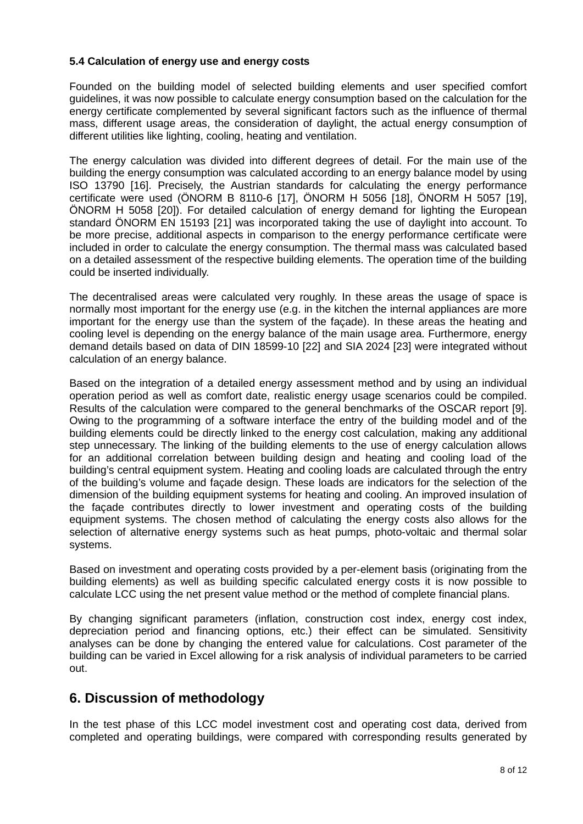#### **5.4 Calculation of energy use and energy costs**

Founded on the building model of selected building elements and user specified comfort guidelines, it was now possible to calculate energy consumption based on the calculation for the energy certificate complemented by several significant factors such as the influence of thermal mass, different usage areas, the consideration of daylight, the actual energy consumption of different utilities like lighting, cooling, heating and ventilation.

The energy calculation was divided into different degrees of detail. For the main use of the building the energy consumption was calculated according to an energy balance model by using ISO 13790 [16]. Precisely, the Austrian standards for calculating the energy performance certificate were used (ÖNORM B 8110-6 [17], ÖNORM H 5056 [18], ÖNORM H 5057 [19], ÖNORM H 5058 [20]). For detailed calculation of energy demand for lighting the European standard ÖNORM EN 15193 [21] was incorporated taking the use of daylight into account. To be more precise, additional aspects in comparison to the energy performance certificate were included in order to calculate the energy consumption. The thermal mass was calculated based on a detailed assessment of the respective building elements. The operation time of the building could be inserted individually.

The decentralised areas were calculated very roughly. In these areas the usage of space is normally most important for the energy use (e.g. in the kitchen the internal appliances are more important for the energy use than the system of the façade). In these areas the heating and cooling level is depending on the energy balance of the main usage area. Furthermore, energy demand details based on data of DIN 18599-10 [22] and SIA 2024 [23] were integrated without calculation of an energy balance.

Based on the integration of a detailed energy assessment method and by using an individual operation period as well as comfort date, realistic energy usage scenarios could be compiled. Results of the calculation were compared to the general benchmarks of the OSCAR report [9]. Owing to the programming of a software interface the entry of the building model and of the building elements could be directly linked to the energy cost calculation, making any additional step unnecessary. The linking of the building elements to the use of energy calculation allows for an additional correlation between building design and heating and cooling load of the building's central equipment system. Heating and cooling loads are calculated through the entry of the building's volume and façade design. These loads are indicators for the selection of the dimension of the building equipment systems for heating and cooling. An improved insulation of the façade contributes directly to lower investment and operating costs of the building equipment systems. The chosen method of calculating the energy costs also allows for the selection of alternative energy systems such as heat pumps, photo-voltaic and thermal solar systems.

Based on investment and operating costs provided by a per-element basis (originating from the building elements) as well as building specific calculated energy costs it is now possible to calculate LCC using the net present value method or the method of complete financial plans.

By changing significant parameters (inflation, construction cost index, energy cost index, depreciation period and financing options, etc.) their effect can be simulated. Sensitivity analyses can be done by changing the entered value for calculations. Cost parameter of the building can be varied in Excel allowing for a risk analysis of individual parameters to be carried out.

### **6. Discussion of methodology**

In the test phase of this LCC model investment cost and operating cost data, derived from completed and operating buildings, were compared with corresponding results generated by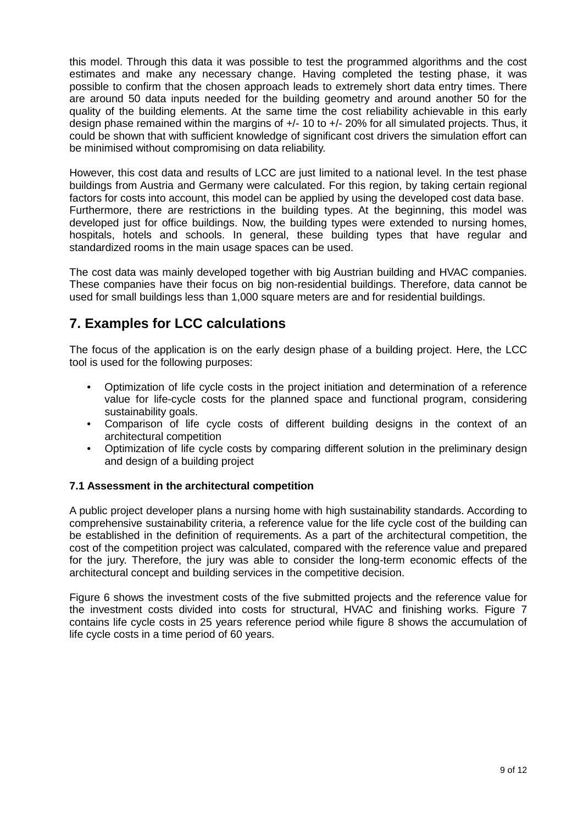this model. Through this data it was possible to test the programmed algorithms and the cost estimates and make any necessary change. Having completed the testing phase, it was possible to confirm that the chosen approach leads to extremely short data entry times. There are around 50 data inputs needed for the building geometry and around another 50 for the quality of the building elements. At the same time the cost reliability achievable in this early design phase remained within the margins of +/- 10 to +/- 20% for all simulated projects. Thus, it could be shown that with sufficient knowledge of significant cost drivers the simulation effort can be minimised without compromising on data reliability.

However, this cost data and results of LCC are just limited to a national level. In the test phase buildings from Austria and Germany were calculated. For this region, by taking certain regional factors for costs into account, this model can be applied by using the developed cost data base. Furthermore, there are restrictions in the building types. At the beginning, this model was developed just for office buildings. Now, the building types were extended to nursing homes, hospitals, hotels and schools. In general, these building types that have regular and standardized rooms in the main usage spaces can be used.

The cost data was mainly developed together with big Austrian building and HVAC companies. These companies have their focus on big non-residential buildings. Therefore, data cannot be used for small buildings less than 1,000 square meters are and for residential buildings.

# **7. Examples for LCC calculations**

The focus of the application is on the early design phase of a building project. Here, the LCC tool is used for the following purposes:

- Optimization of life cycle costs in the project initiation and determination of a reference value for life-cycle costs for the planned space and functional program, considering sustainability goals.
- Comparison of life cycle costs of different building designs in the context of an architectural competition
- Optimization of life cycle costs by comparing different solution in the preliminary design and design of a building project

#### **7.1 Assessment in the architectural competition**

A public project developer plans a nursing home with high sustainability standards. According to comprehensive sustainability criteria, a reference value for the life cycle cost of the building can be established in the definition of requirements. As a part of the architectural competition, the cost of the competition project was calculated, compared with the reference value and prepared for the jury. Therefore, the jury was able to consider the long-term economic effects of the architectural concept and building services in the competitive decision.

Figure 6 shows the investment costs of the five submitted projects and the reference value for the investment costs divided into costs for structural, HVAC and finishing works. Figure 7 contains life cycle costs in 25 years reference period while figure 8 shows the accumulation of life cycle costs in a time period of 60 years.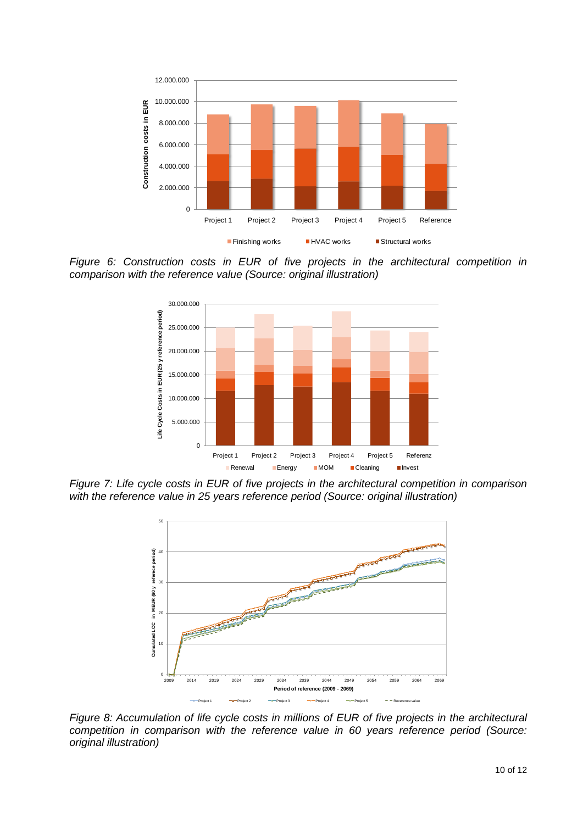

*Figure 6: Construction costs in EUR of five projects in the architectural competition in comparison with the reference value (Source: original illustration)*



*Figure 7: Life cycle costs in EUR of five projects in the architectural competition in comparison with the reference value in 25 years reference period (Source: original illustration)*



*Figure 8: Accumulation of life cycle costs in millions of EUR of five projects in the architectural competition in comparison with the reference value in 60 years reference period (Source: original illustration)*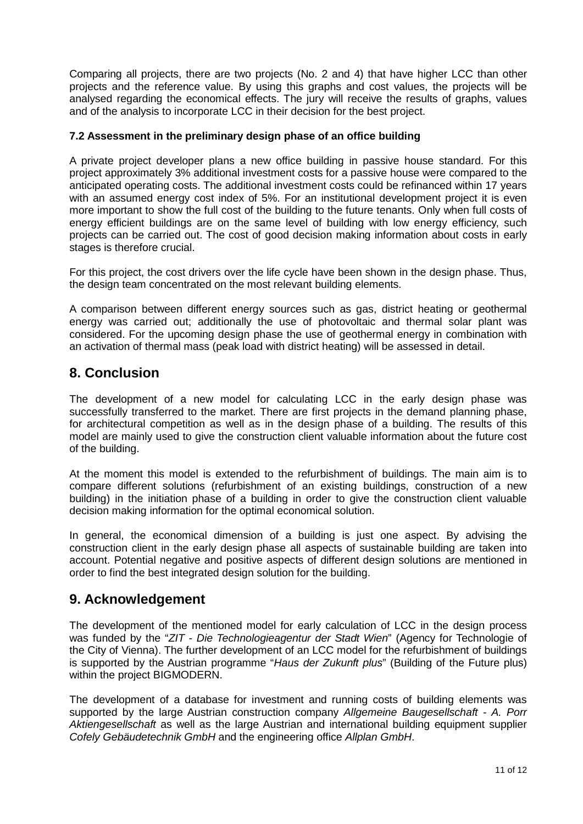Comparing all projects, there are two projects (No. 2 and 4) that have higher LCC than other projects and the reference value. By using this graphs and cost values, the projects will be analysed regarding the economical effects. The jury will receive the results of graphs, values and of the analysis to incorporate LCC in their decision for the best project.

#### **7.2 Assessment in the preliminary design phase of an office building**

A private project developer plans a new office building in passive house standard. For this project approximately 3% additional investment costs for a passive house were compared to the anticipated operating costs. The additional investment costs could be refinanced within 17 years with an assumed energy cost index of 5%. For an institutional development project it is even more important to show the full cost of the building to the future tenants. Only when full costs of energy efficient buildings are on the same level of building with low energy efficiency, such projects can be carried out. The cost of good decision making information about costs in early stages is therefore crucial.

For this project, the cost drivers over the life cycle have been shown in the design phase. Thus, the design team concentrated on the most relevant building elements.

A comparison between different energy sources such as gas, district heating or geothermal energy was carried out; additionally the use of photovoltaic and thermal solar plant was considered. For the upcoming design phase the use of geothermal energy in combination with an activation of thermal mass (peak load with district heating) will be assessed in detail.

### **8. Conclusion**

The development of a new model for calculating LCC in the early design phase was successfully transferred to the market. There are first projects in the demand planning phase, for architectural competition as well as in the design phase of a building. The results of this model are mainly used to give the construction client valuable information about the future cost of the building.

At the moment this model is extended to the refurbishment of buildings. The main aim is to compare different solutions (refurbishment of an existing buildings, construction of a new building) in the initiation phase of a building in order to give the construction client valuable decision making information for the optimal economical solution.

In general, the economical dimension of a building is just one aspect. By advising the construction client in the early design phase all aspects of sustainable building are taken into account. Potential negative and positive aspects of different design solutions are mentioned in order to find the best integrated design solution for the building.

### **9. Acknowledgement**

The development of the mentioned model for early calculation of LCC in the design process was funded by the "*ZIT - Die Technologieagentur der Stadt Wien*" (Agency for Technologie of the City of Vienna). The further development of an LCC model for the refurbishment of buildings is supported by the Austrian programme "*Haus der Zukunft plus*" (Building of the Future plus) within the project BIGMODERN.

The development of a database for investment and running costs of building elements was supported by the large Austrian construction company *Allgemeine Baugesellschaft - A. Porr Aktiengesellschaft* as well as the large Austrian and international building equipment supplier *Cofely Gebäudetechnik GmbH* and the engineering office *Allplan GmbH*.